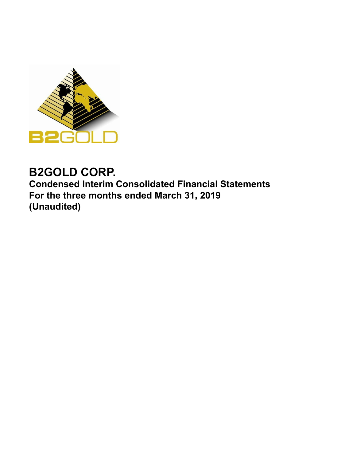

# **B2GOLD CORP.**

**Condensed Interim Consolidated Financial Statements For the three months ended March 31, 2019 (Unaudited)**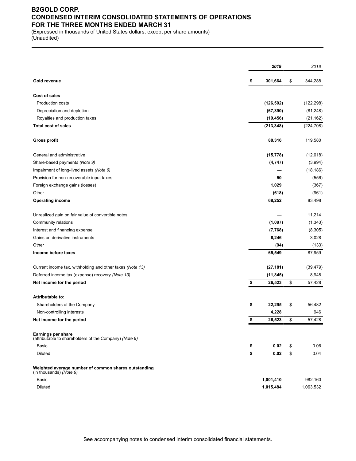### **B2GOLD CORP. CONDENSED INTERIM CONSOLIDATED STATEMENTS OF OPERATIONS FOR THE THREE MONTHS ENDED MARCH 31**

(Expressed in thousands of United States dollars, except per share amounts) (Unaudited)

|                                                                                 |               | 2019         | 2018       |
|---------------------------------------------------------------------------------|---------------|--------------|------------|
| <b>Gold revenue</b>                                                             | 301,664<br>\$ | \$           | 344,288    |
| <b>Cost of sales</b>                                                            |               |              |            |
| Production costs                                                                | (126, 502)    |              | (122, 298) |
| Depreciation and depletion                                                      |               | (67, 390)    | (81, 248)  |
| Royalties and production taxes                                                  | (19, 456)     |              | (21, 162)  |
| <b>Total cost of sales</b>                                                      | (213, 348)    |              | (224, 708) |
| Gross profit                                                                    |               | 88,316       | 119,580    |
| General and administrative                                                      |               | (15, 778)    | (12,018)   |
| Share-based payments (Note 9)                                                   |               | (4,747)      | (3,994)    |
| Impairment of long-lived assets (Note 6)                                        |               |              | (18, 186)  |
| Provision for non-recoverable input taxes                                       |               | 50           | (556)      |
| Foreign exchange gains (losses)                                                 |               | 1,029        | (367)      |
| Other                                                                           |               | (618)        | (961)      |
| <b>Operating income</b>                                                         |               | 68,252       | 83,498     |
| Unrealized gain on fair value of convertible notes                              |               |              | 11,214     |
| Community relations                                                             |               | (1,087)      | (1, 343)   |
| Interest and financing expense                                                  |               | (7, 768)     | (8,305)    |
| Gains on derivative instruments                                                 |               | 6,246        | 3,028      |
| Other                                                                           |               | (94)         | (133)      |
| Income before taxes                                                             |               | 65,549       | 87,959     |
| Current income tax, withholding and other taxes (Note 13)                       |               | (27, 181)    | (39, 479)  |
| Deferred income tax (expense) recovery (Note 13)                                |               | (11, 845)    | 8,948      |
| Net income for the period                                                       | \$            | \$<br>26,523 | 57,428     |
| <b>Attributable to:</b>                                                         |               |              |            |
| Shareholders of the Company                                                     | \$            | 22,295<br>\$ | 56,482     |
| Non-controlling interests                                                       |               | 4,228        | 946        |
| Net income for the period                                                       | \$            | \$<br>26,523 | 57,428     |
| Earnings per share<br>(attributable to shareholders of the Company) (Note 9)    |               |              |            |
| Basic                                                                           | \$            | \$<br>0.02   | 0.06       |
| Diluted                                                                         | \$            | 0.02<br>\$   | 0.04       |
| Weighted average number of common shares outstanding<br>(in thousands) (Note 9) |               |              |            |
| Basic                                                                           | 1,001,410     |              | 982,160    |
| Diluted                                                                         | 1,015,484     |              | 1,063,532  |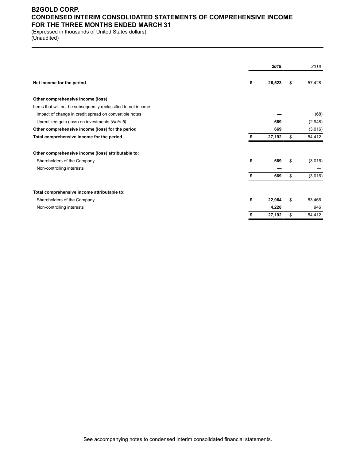### **B2GOLD CORP. CONDENSED INTERIM CONSOLIDATED STATEMENTS OF COMPREHENSIVE INCOME FOR THE THREE MONTHS ENDED MARCH 31**

(Expressed in thousands of United States dollars) (Unaudited)

|                                                                 |    | 2019   | 2018          |
|-----------------------------------------------------------------|----|--------|---------------|
| Net income for the period                                       | s  | 26,523 | \$<br>57,428  |
| Other comprehensive income (loss)                               |    |        |               |
| Items that will not be subsequently reclassified to net income: |    |        |               |
| Impact of change in credit spread on convertible notes          |    |        | (68)          |
| Unrealized gain (loss) on investments (Note 5)                  |    | 669    | (2,948)       |
| Other comprehensive income (loss) for the period                |    | 669    | (3,016)       |
| Total comprehensive income for the period                       | \$ | 27,192 | \$<br>54,412  |
| Other comprehensive income (loss) attributable to:              |    |        |               |
| Shareholders of the Company                                     | \$ | 669    | \$<br>(3,016) |
| Non-controlling interests                                       |    |        |               |
|                                                                 | \$ | 669    | \$<br>(3,016) |
| Total comprehensive income attributable to:                     |    |        |               |
| Shareholders of the Company                                     | \$ | 22,964 | \$<br>53,466  |
| Non-controlling interests                                       |    | 4.228  | 946           |
|                                                                 | S  | 27,192 | \$<br>54,412  |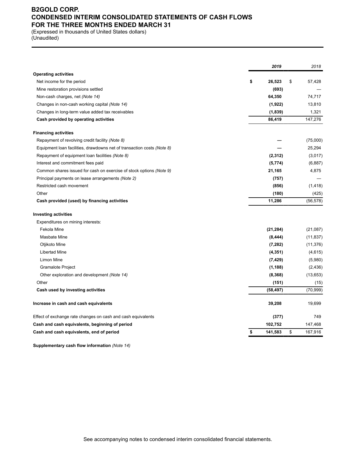### **B2GOLD CORP. CONDENSED INTERIM CONSOLIDATED STATEMENTS OF CASH FLOWS FOR THE THREE MONTHS ENDED MARCH 31**

(Expressed in thousands of United States dollars) (Unaudited)

|                                                                        | 2019          | 2018          |
|------------------------------------------------------------------------|---------------|---------------|
| <b>Operating activities</b>                                            |               |               |
| Net income for the period                                              | \$<br>26,523  | \$<br>57,428  |
| Mine restoration provisions settled                                    | (693)         |               |
| Non-cash charges, net (Note 14)                                        | 64,350        | 74,717        |
| Changes in non-cash working capital (Note 14)                          | (1,922)       | 13,810        |
| Changes in long-term value added tax receivables                       | (1,839)       | 1,321         |
| Cash provided by operating activities                                  | 86,419        | 147,276       |
| <b>Financing activities</b>                                            |               |               |
| Repayment of revolving credit facility (Note 8)                        |               | (75,000)      |
| Equipment loan facilities, drawdowns net of transaction costs (Note 8) |               | 25,294        |
| Repayment of equipment loan facilities (Note 8)                        | (2, 312)      | (3,017)       |
| Interest and commitment fees paid                                      | (5, 774)      | (6,887)       |
| Common shares issued for cash on exercise of stock options (Note 9)    | 21,165        | 4,875         |
| Principal payments on lease arrangements (Note 2)                      | (757)         |               |
| Restricted cash movement                                               | (856)         | (1, 418)      |
| Other                                                                  | (180)         | (425)         |
| Cash provided (used) by financing activities                           | 11,286        | (56, 578)     |
| <b>Investing activities</b>                                            |               |               |
| Expenditures on mining interests:                                      |               |               |
| Fekola Mine                                                            | (21, 284)     | (21,087)      |
| <b>Masbate Mine</b>                                                    | (8, 444)      | (11, 837)     |
| Otjikoto Mine                                                          | (7, 282)      | (11, 376)     |
| Libertad Mine                                                          | (4, 351)      | (4,615)       |
| Limon Mine                                                             | (7, 429)      | (5,980)       |
| Gramalote Project                                                      | (1, 188)      | (2, 436)      |
| Other exploration and development (Note 14)                            | (8, 368)      | (13,653)      |
| Other                                                                  | (151)         | (15)          |
| Cash used by investing activities                                      | (58, 497)     | (70, 999)     |
| Increase in cash and cash equivalents                                  | 39,208        | 19,699        |
| Effect of exchange rate changes on cash and cash equivalents           | (377)         | 749           |
| Cash and cash equivalents, beginning of period                         | 102,752       | 147,468       |
| Cash and cash equivalents, end of period                               | 141,583<br>\$ | \$<br>167,916 |

**Supplementary cash flow information** *(Note 14)*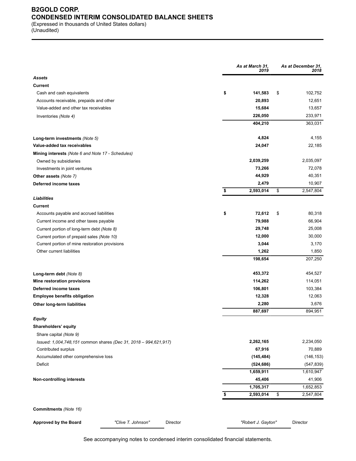### **B2GOLD CORP. CONDENSED INTERIM CONSOLIDATED BALANCE SHEETS** (Expressed in thousands of United States dollars)

(Unaudited)

|                                                                  | As at March 31,<br>2019 | As at December 31,<br>2018 |
|------------------------------------------------------------------|-------------------------|----------------------------|
| Assets                                                           |                         |                            |
| <b>Current</b>                                                   |                         |                            |
| Cash and cash equivalents                                        | \$<br>141,583           | \$<br>102,752              |
| Accounts receivable, prepaids and other                          | 20,893                  | 12,651                     |
| Value-added and other tax receivables                            | 15,684                  | 13,657                     |
| Inventories (Note 4)                                             | 226,050                 | 233,971                    |
|                                                                  | 404,210                 | 363,031                    |
| Long-term investments (Note 5)                                   | 4,824                   | 4,155                      |
| Value-added tax receivables                                      | 24,047                  | 22,185                     |
| Mining interests (Note 6 and Note 17 - Schedules)                |                         |                            |
| Owned by subsidiaries                                            | 2,039,259               | 2,035,097                  |
| Investments in joint ventures                                    | 73,266                  | 72,078                     |
| Other assets (Note 7)                                            | 44,929                  | 40,351                     |
| Deferred income taxes                                            | 2,479                   | 10,907                     |
| Liabilities                                                      | \$<br>2,593,014         | \$<br>2,547,804            |
|                                                                  |                         |                            |
| <b>Current</b>                                                   | \$<br>72,612            | \$<br>80,318               |
| Accounts payable and accrued liabilities                         | 79,988                  | 66,904                     |
| Current income and other taxes payable                           | 29,748                  | 25,008                     |
| Current portion of long-term debt (Note 8)                       | 12,000                  | 30,000                     |
| Current portion of prepaid sales (Note 10)                       |                         |                            |
| Current portion of mine restoration provisions                   | 3,044                   | 3,170                      |
| Other current liabilities                                        | 1,262<br>198,654        | 1,850<br>207,250           |
| Long-term debt (Note 8)                                          | 453,372                 | 454,527                    |
| Mine restoration provisions                                      | 114,262                 | 114,051                    |
| Deferred income taxes                                            | 106,801                 | 103,384                    |
| <b>Employee benefits obligation</b>                              | 12,328                  | 12,063                     |
| Other long-term liabilities                                      | 2,280                   | 3,676                      |
|                                                                  | 887,697                 | 894,951                    |
| Equity                                                           |                         |                            |
| Shareholders' equity                                             |                         |                            |
| Share capital (Note 9)                                           |                         |                            |
| Issued: 1,004,748,151 common shares (Dec 31, 2018 - 994,621,917) | 2,262,165               | 2,234,050                  |
| Contributed surplus                                              | 67,916                  | 70,889                     |
| Accumulated other comprehensive loss                             | (145, 484)              | (146, 153)                 |
| Deficit                                                          | (524, 686)              | (547, 839)                 |
|                                                                  | 1,659,911               | 1,610,947                  |
| <b>Non-controlling interests</b>                                 | 45,406                  | 41,906                     |
|                                                                  | 1,705,317               | 1,652,853                  |
|                                                                  | \$<br>2,593,014         | \$<br>2,547,804            |
| Commitments (Note 16)                                            |                         |                            |
| Approved by the Board<br>"Clive T. Johnson"<br>Director          | "Robert J. Gayton"      | Director                   |

See accompanying notes to condensed interim consolidated financial statements.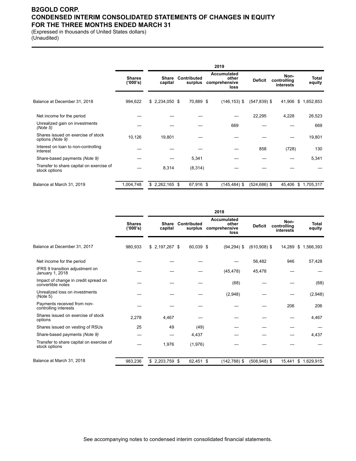### **B2GOLD CORP. CONDENSED INTERIM CONSOLIDATED STATEMENTS OF CHANGES IN EQUITY FOR THE THREE MONTHS ENDED MARCH 31**

(Expressed in thousands of United States dollars) (Unaudited)

|                                                           |                           |                  |                        | 2019                                                 |                 |                                  |                     |
|-----------------------------------------------------------|---------------------------|------------------|------------------------|------------------------------------------------------|-----------------|----------------------------------|---------------------|
|                                                           | <b>Shares</b><br>('000's) | Share<br>capital | Contributed<br>surplus | <b>Accumulated</b><br>other<br>comprehensive<br>loss | <b>Deficit</b>  | Non-<br>controlling<br>interests | Total<br>equity     |
| Balance at December 31, 2018                              | 994,622                   | $$2,234,050$ \$  | 70,889 \$              | $(146, 153)$ \$                                      | $(547, 839)$ \$ |                                  | 41,906 \$ 1,652,853 |
| Net income for the period                                 |                           |                  |                        |                                                      | 22,295          | 4,228                            | 26,523              |
| Unrealized gain on investments<br>(Note 5)                |                           |                  |                        | 669                                                  |                 |                                  | 669                 |
| Shares issued on exercise of stock<br>options (Note 9)    | 10,126                    | 19,801           |                        |                                                      |                 |                                  | 19,801              |
| Interest on loan to non-controlling<br>interest           |                           |                  |                        |                                                      | 858             | (728)                            | 130                 |
| Share-based payments (Note 9)                             |                           |                  | 5,341                  |                                                      |                 |                                  | 5,341               |
| Transfer to share capital on exercise of<br>stock options |                           | 8,314            | (8,314)                |                                                      |                 |                                  |                     |
| Balance at March 31, 2019                                 | 1,004,748                 | $$2,262,165$ \$  | 67,916 \$              | $(145, 484)$ \$                                      | $(524, 686)$ \$ | 45,406                           | \$1,705,317         |

|                                                           |                           |                         |                        | 2018                                          |                 |                                  |                        |
|-----------------------------------------------------------|---------------------------|-------------------------|------------------------|-----------------------------------------------|-----------------|----------------------------------|------------------------|
|                                                           | <b>Shares</b><br>('000's) | <b>Share</b><br>capital | Contributed<br>surplus | Accumulated<br>other<br>comprehensive<br>loss | <b>Deficit</b>  | Non-<br>controlling<br>interests | <b>Total</b><br>equity |
| Balance at December 31, 2017                              | 980,933                   | $$2,197,267$ \$         | 60,039 \$              | $(94, 294)$ \$                                | $(610,908)$ \$  | 14,289                           | \$1,566,393            |
| Net income for the period                                 |                           |                         |                        |                                               | 56,482          | 946                              | 57,428                 |
| IFRS 9 transition adjustment on<br>January 1, 2018        |                           |                         |                        | (45, 478)                                     | 45,478          |                                  |                        |
| Impact of change in credit spread on<br>convertible notes |                           |                         |                        | (68)                                          |                 |                                  | (68)                   |
| Unrealized loss on investments<br>(Note 5)                |                           |                         |                        | (2,948)                                       |                 |                                  | (2,948)                |
| Payments received from non-<br>controlling interests      |                           |                         |                        |                                               |                 | 206                              | 206                    |
| Shares issued on exercise of stock<br>options             | 2,278                     | 4,467                   |                        |                                               |                 |                                  | 4,467                  |
| Shares issued on vesting of RSUs                          | 25                        | 49                      | (49)                   |                                               |                 |                                  |                        |
| Share-based payments (Note 9)                             |                           |                         | 4,437                  |                                               |                 |                                  | 4,437                  |
| Transfer to share capital on exercise of<br>stock options |                           | 1,976                   | (1,976)                |                                               |                 |                                  |                        |
| Balance at March 31, 2018                                 | 983,236                   | $$2,203,759$ \$         | 62,451 \$              | $(142, 788)$ \$                               | $(508, 948)$ \$ | 15,441                           | \$1,629,915            |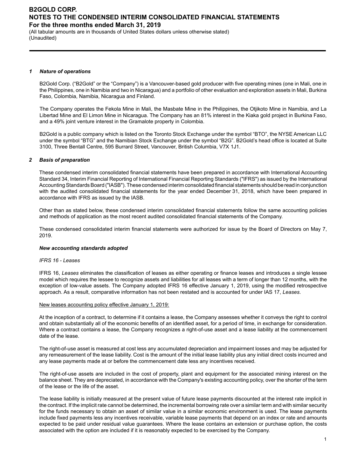(All tabular amounts are in thousands of United States dollars unless otherwise stated) (Unaudited)

#### *1 Nature of operations*

B2Gold Corp. ("B2Gold" or the "Company") is a Vancouver-based gold producer with five operating mines (one in Mali, one in the Philippines, one in Namibia and two in Nicaragua) and a portfolio of other evaluation and exploration assets in Mali, Burkina Faso, Colombia, Namibia, Nicaragua and Finland.

The Company operates the Fekola Mine in Mali, the Masbate Mine in the Philippines, the Otjikoto Mine in Namibia, and La Libertad Mine and El Limon Mine in Nicaragua. The Company has an 81% interest in the Kiaka gold project in Burkina Faso, and a 49% joint venture interest in the Gramalote property in Colombia.

B2Gold is a public company which is listed on the Toronto Stock Exchange under the symbol "BTO", the NYSE American LLC under the symbol "BTG" and the Namibian Stock Exchange under the symbol "B2G". B2Gold's head office is located at Suite 3100, Three Bentall Centre, 595 Burrard Street, Vancouver, British Columbia, V7X 1J1.

### *2 Basis of preparation*

These condensed interim consolidated financial statements have been prepared in accordance with International Accounting Standard 34, Interim Financial Reporting of International Financial Reporting Standards ("IFRS") as issued by the International Accounting Standards Board ("IASB"). These condensed interim consolidated financial statements should be read in conjunction with the audited consolidated financial statements for the year ended December 31, 2018, which have been prepared in accordance with IFRS as issued by the IASB.

Other than as stated below, these condensed interim consolidated financial statements follow the same accounting policies and methods of application as the most recent audited consolidated financial statements of the Company.

These condensed consolidated interim financial statements were authorized for issue by the Board of Directors on May 7, 2019.

### *New accounting standards adopted*

### *IFRS 16 - Leases*

IFRS 16, *Leases* eliminates the classification of leases as either operating or finance leases and introduces a single lessee model which requires the lessee to recognize assets and liabilities for all leases with a term of longer than 12 months, with the exception of low-value assets. The Company adopted IFRS 16 effective January 1, 2019, using the modified retrospective approach. As a result, comparative information has not been restated and is accounted for under IAS 17, *Leases*.

### New leases accounting policy effective January 1, 2019:

At the inception of a contract, to determine if it contains a lease, the Company assesses whether it conveys the right to control and obtain substantially all of the economic benefits of an identified asset, for a period of time, in exchange for consideration. Where a contract contains a lease, the Company recognizes a right-of-use asset and a lease liability at the commencement date of the lease.

The right-of-use asset is measured at cost less any accumulated depreciation and impairment losses and may be adjusted for any remeasurement of the lease liability. Cost is the amount of the initial lease liability plus any initial direct costs incurred and any lease payments made at or before the commencement date less any incentives received.

The right-of-use assets are included in the cost of property, plant and equipment for the associated mining interest on the balance sheet. They are depreciated, in accordance with the Company's existing accounting policy, over the shorter of the term of the lease or the life of the asset.

The lease liability is initially measured at the present value of future lease payments discounted at the interest rate implicit in the contract. If the implicit rate cannot be determined, the incremental borrowing rate over a similar term and with similar security for the funds necessary to obtain an asset of similar value in a similar economic environment is used. The lease payments include fixed payments less any incentives receivable, variable lease payments that depend on an index or rate and amounts expected to be paid under residual value guarantees. Where the lease contains an extension or purchase option, the costs associated with the option are included if it is reasonably expected to be exercised by the Company.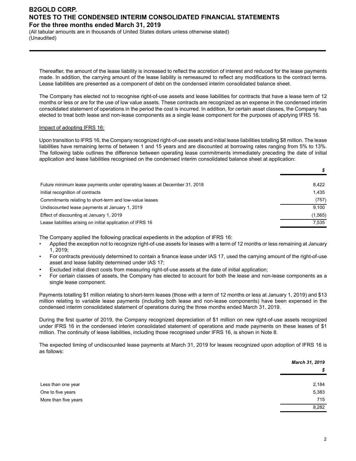(All tabular amounts are in thousands of United States dollars unless otherwise stated) (Unaudited)

Thereafter, the amount of the lease liability is increased to reflect the accretion of interest and reduced for the lease payments made. In addition, the carrying amount of the lease liability is remeasured to reflect any modifications to the contract terms. Lease liabilities are presented as a component of debt on the condensed interim consolidated balance sheet.

The Company has elected not to recognise right-of-use assets and lease liabilities for contracts that have a lease term of 12 months or less or are for the use of low value assets. These contracts are recognized as an expense in the condensed interim consolidated statement of operations in the period the cost is incurred. In addition, for certain asset classes, the Company has elected to treat both lease and non-lease components as a single lease component for the purposes of applying IFRS 16.

### Impact of adopting IFRS 16:

Upon transition to IFRS 16, the Company recognized right-of-use assets and initial lease liabilities totalling \$8 million. The lease liabilities have remaining terms of between 1 and 15 years and are discounted at borrowing rates ranging from 5% to 13%. The following table outlines the difference between operating lease commitments immediately preceding the date of initial application and lease liabilities recognised on the condensed interim consolidated balance sheet at application:

| Future minimum lease payments under operating leases at December 31, 2018 | 8.422    |
|---------------------------------------------------------------------------|----------|
| Initial recognition of contracts                                          | 1.435    |
| Commitments relating to short-term and low-value leases                   | (757)    |
| Undiscounted lease payments at January 1, 2019                            | 9.100    |
| Effect of discounting at January 1, 2019                                  | (1, 565) |
| Lease liabilities arising on initial application of IFRS 16               | 7.535    |

The Company applied the following practical expedients in the adoption of IFRS 16:

- Applied the exception not to recognize right-of-use assets for leases with a term of 12 months or less remaining at January 1, 2019;
- For contracts previously determined to contain a finance lease under IAS 17, used the carrying amount of the right-of-use asset and lease liability determined under IAS 17;
- Excluded initial direct costs from measuring right-of-use assets at the date of initial application;
- For certain classes of assets, the Company has elected to account for both the lease and non-lease components as a single lease component.

Payments totalling \$1 million relating to short-term leases (those with a term of 12 months or less at January 1, 2019) and \$13 million relating to variable lease payments (including both lease and non-lease components) have been expensed in the condensed interim consolidated statement of operations during the three months ended March 31, 2019.

During the first quarter of 2019, the Company recognized depreciation of \$1 million on new right-of-use assets recognized under IFRS 16 in the condensed interim consolidated statement of operations and made payments on these leases of \$1 million. The continuity of lease liabilities, including those recognised under IFRS 16, is shown in Note 8.

The expected timing of undiscounted lease payments at March 31, 2019 for leases recognized upon adoption of IFRS 16 is as follows:

|                      | March 31, 2019 |
|----------------------|----------------|
|                      | \$             |
| Less than one year   | 2,184          |
| One to five years    | 5,383          |
| More than five years | 715            |
|                      | 8,282          |

*\$*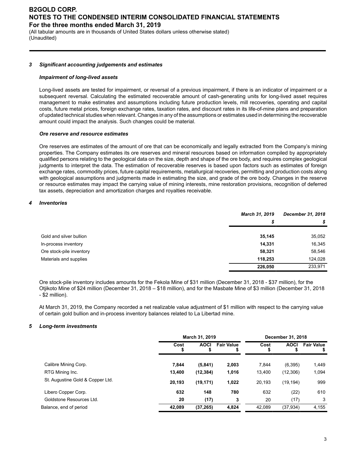(All tabular amounts are in thousands of United States dollars unless otherwise stated) (Unaudited)

#### *3 Significant accounting judgements and estimates*

#### *Impairment of long-lived assets*

Long-lived assets are tested for impairment, or reversal of a previous impairment, if there is an indicator of impairment or a subsequent reversal. Calculating the estimated recoverable amount of cash-generating units for long-lived asset requires management to make estimates and assumptions including future production levels, mill recoveries, operating and capital costs, future metal prices, foreign exchange rates, taxation rates, and discount rates in its life-of-mine plans and preparation of updated technical studies when relevant. Changes in any of the assumptions or estimates used in determining the recoverable amount could impact the analysis. Such changes could be material.

### *Ore reserve and resource estimates*

Ore reserves are estimates of the amount of ore that can be economically and legally extracted from the Company's mining properties. The Company estimates its ore reserves and mineral resources based on information compiled by appropriately qualified persons relating to the geological data on the size, depth and shape of the ore body, and requires complex geological judgments to interpret the data. The estimation of recoverable reserves is based upon factors such as estimates of foreign exchange rates, commodity prices, future capital requirements, metallurgical recoveries, permitting and production costs along with geological assumptions and judgments made in estimating the size, and grade of the ore body. Changes in the reserve or resource estimates may impact the carrying value of mining interests, mine restoration provisions, recognition of deferred tax assets, depreciation and amortization charges and royalties receivable.

### *4 Inventories*

|                          | <b>March 31, 2019</b> | December 31, 2018 |
|--------------------------|-----------------------|-------------------|
|                          | \$                    | \$                |
| Gold and silver bullion  | 35,145                | 35,052            |
| In-process inventory     | 14.331                | 16,345            |
| Ore stock-pile inventory | 58,321                | 58,546            |
| Materials and supplies   | 118.253               | 124,028           |
|                          | 226,050               | 233,971           |

Ore stock-pile inventory includes amounts for the Fekola Mine of \$31 million (December 31, 2018 - \$37 million), for the Otjikoto Mine of \$24 million (December 31, 2018 – \$18 million), and for the Masbate Mine of \$3 million (December 31, 2018 - \$2 million).

At March 31, 2019, the Company recorded a net realizable value adjustment of \$1 million with respect to the carrying value of certain gold bullion and in-process inventory balances related to La Libertad mine.

### *5 Long-term investments*

|                                  | March 31, 2019 |             |                   | December 31, 2018 |             |                   |
|----------------------------------|----------------|-------------|-------------------|-------------------|-------------|-------------------|
|                                  | Cost           | <b>AOCI</b> | <b>Fair Value</b> | Cost              | <b>AOCI</b> | <b>Fair Value</b> |
| Calibre Mining Corp.             | 7.844          | (5, 841)    | 2,003             | 7.844             | (6, 395)    | 1,449             |
| RTG Mining Inc.                  | 13,400         | (12, 384)   | 1,016             | 13.400            | (12,306)    | 1,094             |
| St. Augustine Gold & Copper Ltd. | 20,193         | (19, 171)   | 1,022             | 20,193            | (19, 194)   | 999               |
| Libero Copper Corp.              | 632            | 148         | 780               | 632               | (22)        | 610               |
| Goldstone Resources Ltd.         | 20             | (17)        | 3                 | 20                | (17)        | 3                 |
| Balance, end of period           | 42,089         | (37, 265)   | 4,824             | 42,089            | (37, 934)   | 4,155             |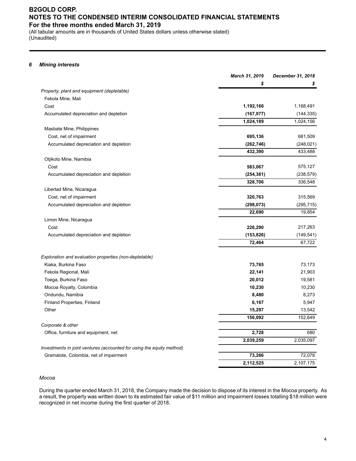(All tabular amounts are in thousands of United States dollars unless otherwise stated) (Unaudited)

### *6 Mining interests*

|                                                                       | March 31, 2019 | December 31, 2018 |
|-----------------------------------------------------------------------|----------------|-------------------|
|                                                                       | \$             | S                 |
| Property, plant and equipment (depletable)                            |                |                   |
| Fekola Mine, Mali                                                     |                |                   |
| Cost                                                                  | 1,192,166      | 1,168,491         |
| Accumulated depreciation and depletion                                | (167, 977)     | (144, 335)        |
|                                                                       | 1,024,189      | 1,024,156         |
| Masbate Mine, Philippines                                             |                |                   |
| Cost, net of impairment                                               | 695,136        | 681,509           |
| Accumulated depreciation and depletion                                | (262, 746)     | (248, 021)        |
|                                                                       | 432,390        | 433,488           |
| Otjikoto Mine, Namibia                                                |                |                   |
| Cost                                                                  | 583,067        | 575,127           |
| Accumulated depreciation and depletion                                | (254, 361)     | (238, 579)        |
|                                                                       | 328,706        | 336,548           |
| Libertad Mine, Nicaragua                                              |                |                   |
| Cost, net of impairment                                               | 320,763        | 315,569           |
| Accumulated depreciation and depletion                                | (298, 073)     | (295, 715)        |
|                                                                       | 22,690         | 19,854            |
| Limon Mine, Nicaragua                                                 |                |                   |
| Cost                                                                  | 226,290        | 217,263           |
| Accumulated depreciation and depletion                                | (153, 826)     | (149, 541)        |
|                                                                       | 72,464         | 67,722            |
| Exploration and evaluation properties (non-depletable)                |                |                   |
| Kiaka, Burkina Faso                                                   | 73,765         | 73,173            |
| Fekola Regional, Mali                                                 | 22,141         | 21,903            |
| Toega, Burkina Faso                                                   | 20,012         | 19,581            |
| Mocoa Royalty, Colombia                                               | 10,230         | 10,230            |
| Ondundu, Namibia                                                      | 8,480          | 8,273             |
| Finland Properties, Finland                                           | 6,167          | 5,947             |
| Other                                                                 | 15,297         | 13,542            |
|                                                                       | 156,092        | 152,649           |
| Corporate & other                                                     |                |                   |
| Office, furniture and equipment, net                                  | 2,728          | 680               |
|                                                                       | 2,039,259      | 2,035,097         |
| Investments in joint ventures (accounted for using the equity method) |                |                   |
| Gramalote, Colombia, net of impairment                                | 73,266         | 72,078            |
|                                                                       | 2,112,525      | 2,107,175         |

### *Mocoa*

During the quarter ended March 31, 2018, the Company made the decision to dispose of its interest in the Mocoa property. As a result, the property was written down to its estimated fair value of \$11 million and impairment losses totalling \$18 million were recognized in net income during the first quarter of 2018.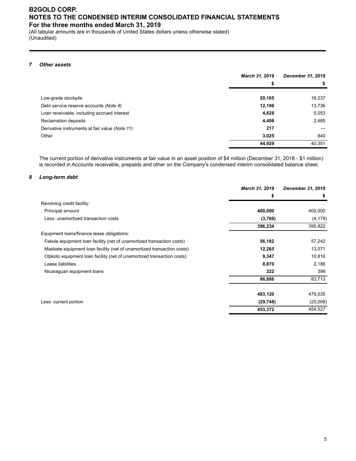(All tabular amounts are in thousands of United States dollars unless otherwise stated) (Unaudited)

### *7 Other assets*

|                                                | March 31, 2019 | December 31, 2018 |
|------------------------------------------------|----------------|-------------------|
|                                                | \$             | \$                |
|                                                |                |                   |
| Low-grade stockpile                            | 20,165         | 18,237            |
| Debt service reserve accounts (Note 8)         | 12,196         | 13,736            |
| Loan receivable, including accrued interest    | 4,828          | 5,053             |
| Reclamation deposits                           | 4,498          | 2,485             |
| Derivative instruments at fair value (Note 11) | 217            |                   |
| Other                                          | 3,025          | 840               |
|                                                | 44,929         | 40,351            |

The current portion of derivative instruments at fair value in an asset position of \$4 million (December 31, 2018 - \$1 million) is recorded in Accounts receivable, prepaids and other on the Company's condensed interim consolidated balance sheet.

### *8 Long-term debt*

|                                                                         | March 31, 2019 | December 31, 2018 |
|-------------------------------------------------------------------------|----------------|-------------------|
|                                                                         | \$             |                   |
| Revolving credit facility:                                              |                |                   |
| Principal amount                                                        | 400,000        | 400,000           |
| Less: unamortized transaction costs                                     | (3,766)        | (4, 178)          |
|                                                                         | 396,234        | 395,822           |
| Equipment loans/finance lease obligations:                              |                |                   |
| Fekola equipment loan facility (net of unamortized transaction costs)   | 56,182         | 57,242            |
| Masbate equipment loan facility (net of unamortized transaction costs)  | 12,265         | 13,071            |
| Otjikoto equipment loan facility (net of unamortized transaction costs) | 9,347          | 10,816            |
| Lease liabilities                                                       | 8,870          | 2,186             |
| Nicaraguan equipment loans                                              | 222            | 398               |
|                                                                         | 86,886         | 83,713            |
|                                                                         | 483,120        | 479,535           |
| Less: current portion                                                   | (29, 748)      | (25,008)          |
|                                                                         | 453,372        | 454,527           |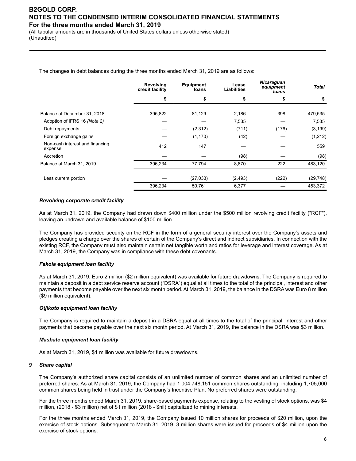(All tabular amounts are in thousands of United States dollars unless otherwise stated) (Unaudited)

The changes in debt balances during the three months ended March 31, 2019 are as follows:

|                                            | Revolving<br>credit facility | <b>Equipment</b><br>loans | Lease<br><b>Liabilities</b> | <b>Nicaraguan</b><br>equipment<br>loans | Total     |
|--------------------------------------------|------------------------------|---------------------------|-----------------------------|-----------------------------------------|-----------|
|                                            | \$                           | \$                        |                             | \$                                      | \$        |
| Balance at December 31, 2018               | 395,822                      | 81,129                    | 2,186                       | 398                                     | 479,535   |
| Adoption of IFRS 16 (Note 2)               |                              |                           | 7,535                       |                                         | 7,535     |
| Debt repayments                            |                              | (2,312)                   | (711)                       | (176)                                   | (3, 199)  |
| Foreign exchange gains                     |                              | (1, 170)                  | (42)                        |                                         | (1,212)   |
| Non-cash interest and financing<br>expense | 412                          | 147                       |                             |                                         | 559       |
| Accretion                                  |                              |                           | (98)                        |                                         | (98)      |
| Balance at March 31, 2019                  | 396,234                      | 77,794                    | 8,870                       | 222                                     | 483,120   |
| Less current portion                       |                              | (27, 033)                 | (2, 493)                    | (222)                                   | (29, 748) |
|                                            | 396,234                      | 50,761                    | 6,377                       |                                         | 453,372   |

### *Revolving corporate credit facility*

As at March 31, 2019, the Company had drawn down \$400 million under the \$500 million revolving credit facility ("RCF"), leaving an undrawn and available balance of \$100 million.

The Company has provided security on the RCF in the form of a general security interest over the Company's assets and pledges creating a charge over the shares of certain of the Company's direct and indirect subsidiaries. In connection with the existing RCF, the Company must also maintain certain net tangible worth and ratios for leverage and interest coverage. As at March 31, 2019, the Company was in compliance with these debt covenants.

### *Fekola equipment loan facility*

As at March 31, 2019, Euro 2 million (\$2 million equivalent) was available for future drawdowns. The Company is required to maintain a deposit in a debt service reserve account ("DSRA") equal at all times to the total of the principal, interest and other payments that become payable over the next six month period. At March 31, 2019, the balance in the DSRA was Euro 8 million (\$9 million equivalent).

### *Otjikoto equipment loan facility*

The Company is required to maintain a deposit in a DSRA equal at all times to the total of the principal, interest and other payments that become payable over the next six month period. At March 31, 2019, the balance in the DSRA was \$3 million.

### *Masbate equipment loan facility*

As at March 31, 2019, \$1 million was available for future drawdowns.

### *9 Share capital*

The Company's authorized share capital consists of an unlimited number of common shares and an unlimited number of preferred shares. As at March 31, 2019, the Company had 1,004,748,151 common shares outstanding, including 1,705,000 common shares being held in trust under the Company's Incentive Plan. No preferred shares were outstanding.

For the three months ended March 31, 2019, share-based payments expense, relating to the vesting of stock options, was \$4 million, (2018 - \$3 million) net of \$1 million (2018 - \$nil) capitalized to mining interests.

For the three months ended March 31, 2019, the Company issued 10 million shares for proceeds of \$20 million, upon the exercise of stock options. Subsequent to March 31, 2019, 3 million shares were issued for proceeds of \$4 million upon the exercise of stock options.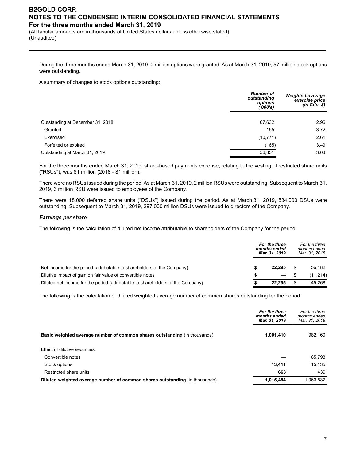(All tabular amounts are in thousands of United States dollars unless otherwise stated) (Unaudited)

During the three months ended March 31, 2019, 0 million options were granted. As at March 31, 2019, 57 million stock options were outstanding.

A summary of changes to stock options outstanding:

|                                  | <b>Number of</b><br>outstanding<br>options<br>('000's) | Weighted-average<br>exercise price<br>$(in$ $Cdn$ . $$)$ |
|----------------------------------|--------------------------------------------------------|----------------------------------------------------------|
|                                  |                                                        |                                                          |
| Outstanding at December 31, 2018 | 67,632                                                 | 2.96                                                     |
| Granted                          | 155                                                    | 3.72                                                     |
| Exercised                        | (10, 771)                                              | 2.61                                                     |
| Forfeited or expired             | (165)                                                  | 3.49                                                     |
| Outstanding at March 31, 2019    | 56,851                                                 | 3.03                                                     |
|                                  |                                                        |                                                          |

For the three months ended March 31, 2019, share-based payments expense, relating to the vesting of restricted share units ("RSUs"), was \$1 million (2018 - \$1 million).

There were no RSUs issued during the period. As at March 31, 2019, 2 million RSUs were outstanding. Subsequent to March 31, 2019, 3 million RSU were issued to employees of the Company.

There were 18,000 deferred share units ("DSUs") issued during the period. As at March 31, 2019, 534,000 DSUs were outstanding. Subsequent to March 31, 2019, 297,000 million DSUs were issued to directors of the Company.

### *Earnings per share*

The following is the calculation of diluted net income attributable to shareholders of the Company for the period:

|                                                                                 | For the three<br>months ended<br>Mar. 31, 2019 |                          | For the three<br>months ended<br>Mar. 31, 2018 |          |
|---------------------------------------------------------------------------------|------------------------------------------------|--------------------------|------------------------------------------------|----------|
| Net income for the period (attributable to shareholders of the Company)         |                                                | 22.295                   | \$                                             | 56.482   |
| Dilutive impact of gain on fair value of convertible notes                      |                                                | $\overline{\phantom{0}}$ |                                                | (11,214) |
| Diluted net income for the period (attributable to shareholders of the Company) |                                                | 22.295                   | \$                                             | 45.268   |

The following is the calculation of diluted weighted average number of common shares outstanding for the period:

|                                                                             | For the three<br>months ended<br>Mar. 31, 2019 | For the three<br>months ended<br>Mar. 31, 2018 |
|-----------------------------------------------------------------------------|------------------------------------------------|------------------------------------------------|
| Basic weighted average number of common shares outstanding (in thousands)   | 1,001,410                                      | 982,160                                        |
| Effect of dilutive securities:                                              |                                                |                                                |
| Convertible notes                                                           |                                                | 65,798                                         |
| Stock options                                                               | 13,411                                         | 15.135                                         |
| Restricted share units                                                      | 663                                            | 439                                            |
| Diluted weighted average number of common shares outstanding (in thousands) | 1,015,484                                      | 1,063,532                                      |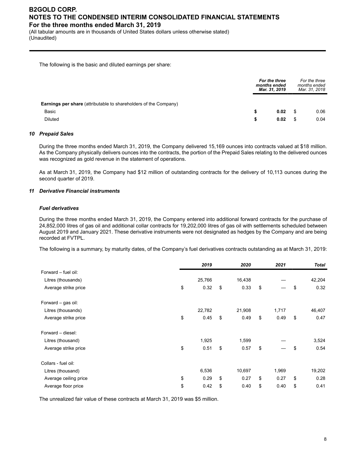(All tabular amounts are in thousands of United States dollars unless otherwise stated) (Unaudited)

The following is the basic and diluted earnings per share:

|                                                                         | For the three<br>months ended<br>Mar. 31, 2019 |    | For the three<br>months ended<br>Mar. 31, 2018 |  |
|-------------------------------------------------------------------------|------------------------------------------------|----|------------------------------------------------|--|
| <b>Earnings per share</b> (attributable to shareholders of the Company) |                                                |    |                                                |  |
| Basic                                                                   | \$<br>0.02                                     |    | 0.06                                           |  |
| Diluted                                                                 | \$<br>0.02                                     | \$ | 0.04                                           |  |

### *10 Prepaid Sales*

During the three months ended March 31, 2019, the Company delivered 15,169 ounces into contracts valued at \$18 million. As the Company physically delivers ounces into the contracts, the portion of the Prepaid Sales relating to the delivered ounces was recognized as gold revenue in the statement of operations.

As at March 31, 2019, the Company had \$12 million of outstanding contracts for the delivery of 10,113 ounces during the second quarter of 2019.

### *11 Derivative Financial instruments*

### *Fuel derivatives*

During the three months ended March 31, 2019, the Company entered into additional forward contracts for the purchase of 24,852,000 litres of gas oil and additional collar contracts for 19,202,000 litres of gas oil with settlements scheduled between August 2019 and January 2021. These derivative instruments were not designated as hedges by the Company and are being recorded at FVTPL.

The following is a summary, by maturity dates, of the Company's fuel derivatives contracts outstanding as at March 31, 2019:

|                       | 2019       | 2020       | 2021       | <b>Total</b> |
|-----------------------|------------|------------|------------|--------------|
| Forward - fuel oil:   |            |            |            |              |
| Litres (thousands)    | 25,766     | 16,438     |            | 42,204       |
| Average strike price  | \$<br>0.32 | \$<br>0.33 | \$         | \$<br>0.32   |
| Forward - gas oil:    |            |            |            |              |
| Litres (thousands)    | 22,782     | 21,908     | 1,717      | 46,407       |
| Average strike price  | \$<br>0.45 | \$<br>0.49 | \$<br>0.49 | \$<br>0.47   |
| Forward - diesel:     |            |            |            |              |
| Litres (thousand)     | 1,925      | 1,599      |            | 3,524        |
| Average strike price  | \$<br>0.51 | \$<br>0.57 | \$         | \$<br>0.54   |
| Collars - fuel oil:   |            |            |            |              |
| Litres (thousand)     | 6,536      | 10,697     | 1,969      | 19,202       |
| Average ceiling price | \$<br>0.29 | \$<br>0.27 | \$<br>0.27 | \$<br>0.28   |
| Average floor price   | \$<br>0.42 | \$<br>0.40 | \$<br>0.40 | \$<br>0.41   |

The unrealized fair value of these contracts at March 31, 2019 was \$5 million.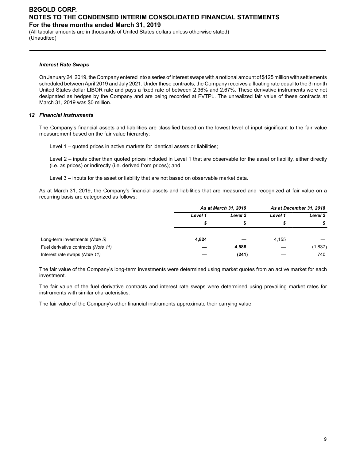(All tabular amounts are in thousands of United States dollars unless otherwise stated) (Unaudited)

#### *Interest Rate Swaps*

On January 24, 2019, the Company entered into a series of interest swaps with a notional amount of \$125 million with settlements scheduled between April 2019 and July 2021. Under these contracts, the Company receives a floating rate equal to the 3 month United States dollar LIBOR rate and pays a fixed rate of between 2.36% and 2.67%. These derivative instruments were not designated as hedges by the Company and are being recorded at FVTPL. The unrealized fair value of these contracts at March 31, 2019 was \$0 million.

### *12 Financial Instruments*

The Company's financial assets and liabilities are classified based on the lowest level of input significant to the fair value measurement based on the fair value hierarchy:

Level 1 – quoted prices in active markets for identical assets or liabilities;

Level 2 – inputs other than quoted prices included in Level 1 that are observable for the asset or liability, either directly (i.e. as prices) or indirectly (i.e. derived from prices); and

Level 3 – inputs for the asset or liability that are not based on observable market data.

As at March 31, 2019, the Company's financial assets and liabilities that are measured and recognized at fair value on a recurring basis are categorized as follows:

|                                     | As at March 31, 2019 |         | As at December 31, 2018 |         |
|-------------------------------------|----------------------|---------|-------------------------|---------|
|                                     | Level 1              | Level 2 | Level 1                 | Level 2 |
|                                     |                      |         | S                       | \$      |
| Long-term investments (Note 5)      | 4,824                |         | 4,155                   |         |
| Fuel derivative contracts (Note 11) |                      | 4,588   |                         | (1,837) |
| Interest rate swaps (Note 11)       |                      | (241)   |                         | 740     |

The fair value of the Company's long-term investments were determined using market quotes from an active market for each investment.

The fair value of the fuel derivative contracts and interest rate swaps were determined using prevailing market rates for instruments with similar characteristics.

The fair value of the Company's other financial instruments approximate their carrying value.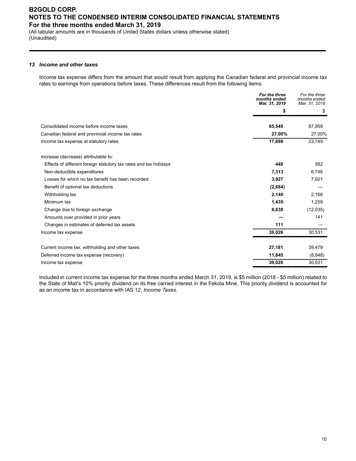(All tabular amounts are in thousands of United States dollars unless otherwise stated) (Unaudited)

### *13 Income and other taxes*

Income tax expense differs from the amount that would result from applying the Canadian federal and provincial income tax rates to earnings from operations before taxes. These differences result from the following items:

|                                                                   | For the three<br>months ended<br>Mar. 31, 2019 | For the three<br>months ended<br>Mar. 31, 2018 |
|-------------------------------------------------------------------|------------------------------------------------|------------------------------------------------|
|                                                                   | \$                                             | \$                                             |
| Consolidated income before income taxes                           | 65,549                                         | 87,959                                         |
| Canadian federal and provincial income tax rates                  | 27.00%                                         | 27.00%                                         |
| Income tax expense at statutory rates                             | 17,698                                         | 23,749                                         |
| Increase (decrease) attributable to:                              |                                                |                                                |
| Effects of different foreign statutory tax rates and tax holidays | 448                                            | 582                                            |
| Non-deductible expenditures                                       | 7,313                                          | 6,746                                          |
| Losses for which no tax benefit has been recorded                 | 3,927                                          | 7,921                                          |
| Benefit of optional tax deductions                                | (2,684)                                        |                                                |
| Withholding tax                                                   | 2,140                                          | 2,168                                          |
| Minimum tax                                                       | 1,435                                          | 1,259                                          |
| Change due to foreign exchange                                    | 8,638                                          | (12,035)                                       |
| Amounts over provided in prior years                              |                                                | 141                                            |
| Changes in estimates of deferred tax assets                       | 111                                            |                                                |
| Income tax expense                                                | 39,026                                         | 30,531                                         |
| Current income tax, withholding and other taxes                   | 27,181                                         | 39,479                                         |
| Deferred income tax expense (recovery)                            | 11,845                                         | (8,948)                                        |
| Income tax expense                                                | 39,026                                         | 30,531                                         |
|                                                                   |                                                |                                                |

Included in current income tax expense for the three months ended March 31, 2019, is \$5 million (2018 - \$5 million) related to the State of Mali's 10% priority dividend on its free carried interest in the Fekola Mine. This priority dividend is accounted for as an income tax in accordance with IAS 12, *Income Taxes.*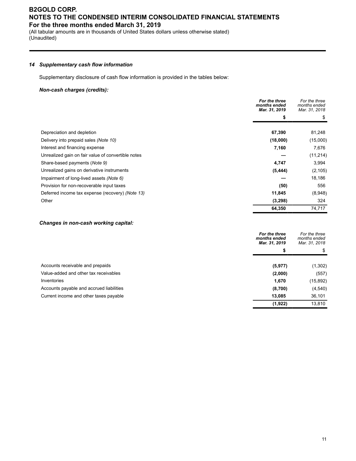(All tabular amounts are in thousands of United States dollars unless otherwise stated) (Unaudited)

### *14 Supplementary cash flow information*

Supplementary disclosure of cash flow information is provided in the tables below:

### *Non-cash charges (credits):*

|                                                    | For the three<br>months ended<br>Mar. 31, 2019 | For the three<br>months ended<br>Mar. 31, 2018 |  |
|----------------------------------------------------|------------------------------------------------|------------------------------------------------|--|
|                                                    | S                                              |                                                |  |
| Depreciation and depletion                         | 67,390                                         | 81,248                                         |  |
| Delivery into prepaid sales (Note 10)              | (18,000)                                       | (15,000)                                       |  |
| Interest and financing expense                     | 7,160                                          | 7,676                                          |  |
| Unrealized gain on fair value of convertible notes |                                                | (11, 214)                                      |  |
| Share-based payments (Note 9)                      | 4,747                                          | 3,994                                          |  |
| Unrealized gains on derivative instruments         | (5, 444)                                       | (2, 105)                                       |  |
| Impairment of long-lived assets (Note 6)           |                                                | 18,186                                         |  |
| Provision for non-recoverable input taxes          | (50)                                           | 556                                            |  |
| Deferred income tax expense (recovery) (Note 13)   | 11,845                                         | (8,948)                                        |  |
| Other                                              | (3,298)                                        | 324                                            |  |
|                                                    | 64,350                                         | 74,717                                         |  |

### *Changes in non-cash working capital:*

| For the three<br>Mar. 31, 2019 | For the three<br>months ended<br>Mar. 31, 2018 |
|--------------------------------|------------------------------------------------|
| \$                             | \$                                             |
| (5, 977)                       | (1,302)                                        |
| (2,000)                        | (557)                                          |
| 1,670                          | (15, 892)                                      |
| (8,700)                        | (4,540)                                        |
| 13,085                         | 36,101                                         |
| (1,922)                        | 13,810                                         |
|                                | months ended                                   |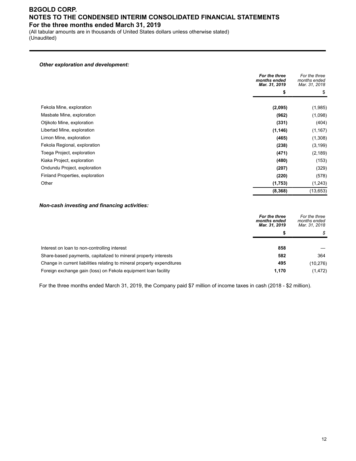(All tabular amounts are in thousands of United States dollars unless otherwise stated) (Unaudited)

#### *Other exploration and development:*

|                                 | For the three<br>months ended<br>Mar. 31, 2019 | For the three<br>months ended<br>Mar. 31, 2018 |  |
|---------------------------------|------------------------------------------------|------------------------------------------------|--|
|                                 | \$                                             | \$                                             |  |
| Fekola Mine, exploration        | (2,095)                                        | (1,985)                                        |  |
| Masbate Mine, exploration       | (962)                                          | (1,098)                                        |  |
| Otjikoto Mine, exploration      | (331)                                          | (404)                                          |  |
| Libertad Mine, exploration      | (1, 146)                                       | (1, 167)                                       |  |
| Limon Mine, exploration         | (465)                                          | (1, 308)                                       |  |
| Fekola Regional, exploration    | (238)                                          | (3, 199)                                       |  |
| Toega Project, exploration      | (471)                                          | (2, 189)                                       |  |
| Kiaka Project, exploration      | (480)                                          | (153)                                          |  |
| Ondundu Project, exploration    | (207)                                          | (329)                                          |  |
| Finland Properties, exploration | (220)                                          | (578)                                          |  |
| Other                           | (1,753)                                        | (1, 243)                                       |  |
|                                 | (8,368)                                        | (13, 653)                                      |  |

### *Non-cash investing and financing activities:*

|                                                                         | For the three<br>months ended<br>Mar. 31, 2019 | For the three<br>months ended<br>Mar. 31, 2018 |
|-------------------------------------------------------------------------|------------------------------------------------|------------------------------------------------|
|                                                                         | æ                                              | \$                                             |
| Interest on loan to non-controlling interest                            | 858                                            |                                                |
| Share-based payments, capitalized to mineral property interests         | 582                                            | 364                                            |
| Change in current liabilities relating to mineral property expenditures | 495                                            | (10, 276)                                      |
| Foreign exchange gain (loss) on Fekola equipment loan facility          | 1.170                                          | (1, 472)                                       |

For the three months ended March 31, 2019, the Company paid \$7 million of income taxes in cash (2018 - \$2 million).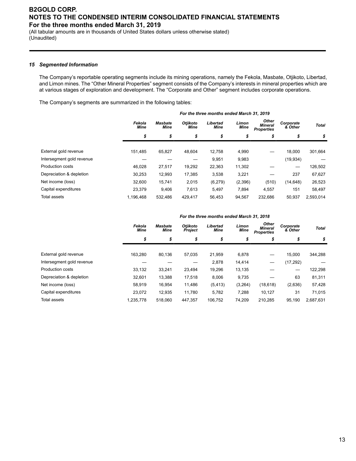(All tabular amounts are in thousands of United States dollars unless otherwise stated) (Unaudited)

#### *15 Segmented Information*

The Company's reportable operating segments include its mining operations, namely the Fekola, Masbate, Otjikoto, Libertad, and Limon mines. The "Other Mineral Properties" segment consists of the Company's interests in mineral properties which are at various stages of exploration and development. The "Corporate and Other" segment includes corporate operations.

The Company's segments are summarized in the following tables:

|                           | For the three months ended March 31, 2019 |                               |                         |                         |               |                                                     |                      |           |
|---------------------------|-------------------------------------------|-------------------------------|-------------------------|-------------------------|---------------|-----------------------------------------------------|----------------------|-----------|
|                           | Fekola<br><b>Mine</b>                     | <b>Masbate</b><br><b>Mine</b> | Otjikoto<br><b>Mine</b> | Libertad<br><b>Mine</b> | Limon<br>Mine | <b>Other</b><br><b>Mineral</b><br><b>Properties</b> | Corporate<br>& Other | Total     |
|                           | \$                                        | \$                            | \$                      | \$                      | \$            | \$                                                  | \$                   | \$        |
|                           |                                           |                               |                         |                         |               |                                                     |                      |           |
| External gold revenue     | 151.485                                   | 65,827                        | 48,604                  | 12,758                  | 4,990         | —                                                   | 18.000               | 301,664   |
| Intersegment gold revenue |                                           |                               |                         | 9,951                   | 9,983         |                                                     | (19, 934)            |           |
| <b>Production costs</b>   | 46.028                                    | 27,517                        | 19,292                  | 22,363                  | 11,302        |                                                     |                      | 126,502   |
| Depreciation & depletion  | 30.253                                    | 12,993                        | 17,385                  | 3,538                   | 3,221         |                                                     | 237                  | 67,627    |
| Net income (loss)         | 32.600                                    | 15,741                        | 2,015                   | (6,279)                 | (2,396)       | (510)                                               | (14, 648)            | 26,523    |
| Capital expenditures      | 23.379                                    | 9,406                         | 7,613                   | 5.497                   | 7,894         | 4,557                                               | 151                  | 58,497    |
| Total assets              | 1.196.468                                 | 532.486                       | 429.417                 | 56.453                  | 94.567        | 232.686                                             | 50.937               | 2,593,014 |

#### *Fekola Mine Masbate Mine Otjikoto Project Libertad Mine Limon Mine Other Mineral Properties Corporate & Other Total \$ \$ \$ \$ \$ \$ \$ \$* External gold revenue 163,280 80,136 57,035 21,959 6,878 — 15,000 344,288 Intersegment gold revenue — — — 2,878 14,414 — (17,292) — Production costs 33,132 33,241 23,494 19,296 13,135 — — 122,298 Depreciation & depletion 32,601 13,388 17,518 8,006 9,735 — 63 81,311 Net income (loss) 58,919 16,954 11,486 (5,413) (3,264) (18,618) (2,636) 57,428 Capital expenditures 23,072 12,935 11,780 5,782 7,288 10,127 31 71,015 Total assets 1,235,778 518,060 447,357 106,752 74,209 210,285 95,190 2,687,631

#### *For the three months ended March 31, 2018*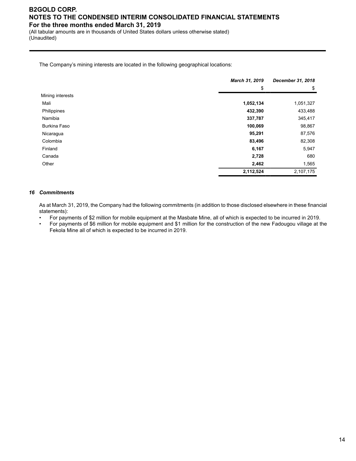(All tabular amounts are in thousands of United States dollars unless otherwise stated) (Unaudited)

The Company's mining interests are located in the following geographical locations:

|                     | March 31, 2019 | December 31, 2018 |
|---------------------|----------------|-------------------|
|                     | \$             | \$                |
| Mining interests    |                |                   |
| Mali                | 1,052,134      | 1,051,327         |
| Philippines         | 432,390        | 433,488           |
| Namibia             | 337,787        | 345,417           |
| <b>Burkina Faso</b> | 100,069        | 98,867            |
| Nicaragua           | 95,291         | 87,576            |
| Colombia            | 83,496         | 82,308            |
| Finland             | 6,167          | 5,947             |
| Canada              | 2,728          | 680               |
| Other               | 2,462          | 1,565             |
|                     | 2,112,524      | 2,107,175         |

### *16 Commitments*

As at March 31, 2019, the Company had the following commitments (in addition to those disclosed elsewhere in these financial statements):

- For payments of \$2 million for mobile equipment at the Masbate Mine, all of which is expected to be incurred in 2019.
- For payments of \$6 million for mobile equipment and \$1 million for the construction of the new Fadougou village at the Fekola Mine all of which is expected to be incurred in 2019.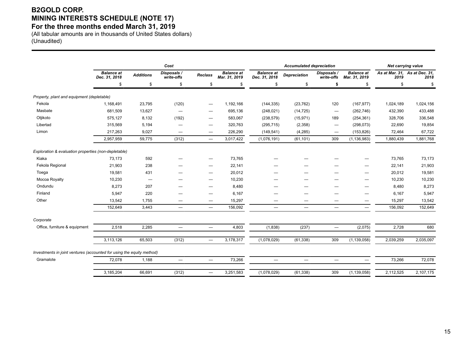## **B2GOLD CORP. MINING INTERESTS SCHEDULE (NOTE 17)**

### **For the three months ended March 31, 2019**

(All tabular amounts are in thousands of United States dollars) (Unaudited)

|                                                                       | Cost                               |                          |                                |                                  | <b>Accumulated depreciation</b>    |                                    |                          |                                  | Net carrying value                 |           |                                       |
|-----------------------------------------------------------------------|------------------------------------|--------------------------|--------------------------------|----------------------------------|------------------------------------|------------------------------------|--------------------------|----------------------------------|------------------------------------|-----------|---------------------------------------|
|                                                                       | <b>Balance</b> at<br>Dec. 31, 2018 | <b>Additions</b>         | Disposals /<br>write-offs      | <b>Reclass</b>                   | <b>Balance</b> at<br>Mar. 31, 2019 | <b>Balance at</b><br>Dec. 31, 2018 | <b>Depreciation</b>      | Disposals /<br>write-offs        | <b>Balance at</b><br>Mar. 31, 2019 | 2019      | As at Mar. 31, As at Dec. 31,<br>2018 |
|                                                                       | \$                                 | \$                       | \$                             | \$                               | \$                                 | \$                                 | \$                       | \$                               | \$                                 | \$        | \$                                    |
| Property, plant and equipment (depletable)                            |                                    |                          |                                |                                  |                                    |                                    |                          |                                  |                                    |           |                                       |
| Fekola                                                                | 1,168,491                          | 23,795                   | (120)                          | $\hspace{0.05cm}$                | 1,192,166                          | (144, 335)                         | (23, 762)                | 120                              | (167, 977)                         | 1,024,189 | 1,024,156                             |
| Masbate                                                               | 681,509                            | 13,627                   | $\overline{\phantom{0}}$       |                                  | 695,136                            | (248, 021)                         | (14, 725)                | $\overline{\phantom{m}}$         | (262, 746)                         | 432,390   | 433,488                               |
| Otjikoto                                                              | 575,127                            | 8,132                    | (192)                          | -                                | 583,067                            | (238, 579)                         | (15, 971)                | 189                              | (254, 361)                         | 328,706   | 336,548                               |
| Libertad                                                              | 315,569                            | 5,194                    | —                              |                                  | 320,763                            | (295, 715)                         | (2,358)                  | $\hspace{0.05cm}$                | (298, 073)                         | 22,690    | 19,854                                |
| Limon                                                                 | 217,263                            | 9,027                    | $\qquad \qquad \longleftarrow$ | $\hspace{0.05cm}$                | 226,290                            | (149, 541)                         | (4,285)                  | $\hspace{0.1mm}-\hspace{0.1mm}$  | (153, 826)                         | 72,464    | 67,722                                |
|                                                                       | 2,957,959                          | 59,775                   | (312)                          | $\overline{\phantom{m}}$         | 3,017,422                          | (1,076,191)                        | (61, 101)                | 309                              | (1, 136, 983)                      | 1,880,439 | 1,881,768                             |
| Exploration & evaluation properties (non-depletable)                  |                                    |                          |                                |                                  |                                    |                                    |                          |                                  |                                    |           |                                       |
| Kiaka                                                                 | 73,173                             | 592                      | --                             |                                  | 73,765                             |                                    |                          |                                  |                                    | 73,765    | 73,173                                |
| Fekola Regional                                                       | 21,903                             | 238                      |                                | -                                | 22,141                             |                                    |                          |                                  |                                    | 22,141    | 21,903                                |
| Toega                                                                 | 19,581                             | 431                      |                                |                                  | 20,012                             | —                                  |                          |                                  | —                                  | 20,012    | 19,581                                |
| Mocoa Royalty                                                         | 10,230                             | $\overline{\phantom{m}}$ |                                |                                  | 10,230                             |                                    |                          |                                  |                                    | 10,230    | 10,230                                |
| Ondundu                                                               | 8,273                              | 207                      |                                |                                  | 8,480                              | _                                  |                          |                                  | —                                  | 8,480     | 8,273                                 |
| Finland                                                               | 5,947                              | 220                      |                                | -                                | 6,167                              | -                                  |                          |                                  | —                                  | 6,167     | 5,947                                 |
| Other                                                                 | 13,542                             | 1,755                    |                                |                                  | 15,297                             | -                                  |                          |                                  |                                    | 15,297    | 13,542                                |
|                                                                       | 152,649                            | 3,443                    | $\equiv$                       | $\overbrace{\phantom{12322111}}$ | 156,092                            | $\equiv$                           | $\overline{\phantom{0}}$ | $\overbrace{\phantom{12322111}}$ | $\equiv$                           | 156,092   | 152,649                               |
| Corporate                                                             |                                    |                          |                                |                                  |                                    |                                    |                          |                                  |                                    |           |                                       |
| Office, furniture & equipment                                         | 2,518                              | 2,285                    | $\overline{\phantom{0}}$       |                                  | 4,803                              | (1,838)                            | (237)                    |                                  | (2,075)                            | 2,728     | 680                                   |
|                                                                       | 3,113,126                          | 65,503                   | (312)                          | $\overline{\phantom{0}}$         | 3,178,317                          | (1,078,029)                        | (61, 338)                | 309                              | (1, 139, 058)                      | 2,039,259 | 2,035,097                             |
| Investments in joint ventures (accounted for using the equity method) |                                    |                          |                                |                                  |                                    |                                    |                          |                                  |                                    |           |                                       |
| Gramalote                                                             | 72,078                             | 1,188                    | $\equiv$                       | $\qquad \qquad -$                | 73,266                             | $\equiv$                           | $\equiv$                 |                                  | $\overline{\phantom{0}}$           | 73,266    | 72,078                                |
|                                                                       | 3,185,204                          | 66,691                   | (312)                          | $\overline{\phantom{0}}$         | 3,251,583                          | (1,078,029)                        | (61, 338)                | 309                              | (1, 139, 058)                      | 2,112,525 | 2,107,175                             |